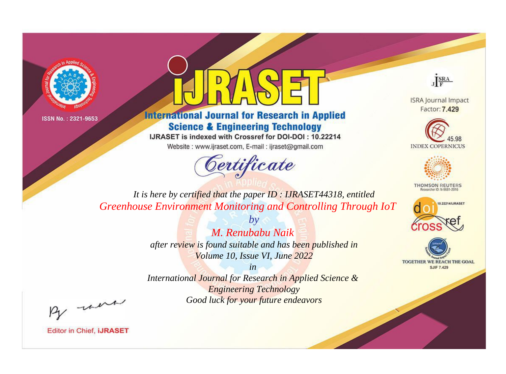



**International Journal for Research in Applied Science & Engineering Technology** 

IJRASET is indexed with Crossref for DOI-DOI: 10.22214

Website: www.ijraset.com, E-mail: ijraset@gmail.com





**ISRA Journal Impact** Factor: 7.429





**THOMSON REUTERS** 



TOGETHER WE REACH THE GOAL **SJIF 7.429** 

*It is here by certified that the paper ID : IJRASET44318, entitled Greenhouse Environment Monitoring and Controlling Through IoT*

> *M. Renubabu Naik after review is found suitable and has been published in Volume 10, Issue VI, June 2022*

*by*

*in International Journal for Research in Applied Science & Engineering Technology Good luck for your future endeavors*

By morn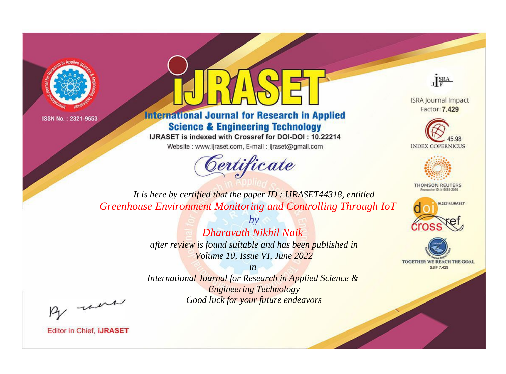



**International Journal for Research in Applied Science & Engineering Technology** 

IJRASET is indexed with Crossref for DOI-DOI: 10.22214

Website: www.ijraset.com, E-mail: ijraset@gmail.com





**ISRA Journal Impact** Factor: 7.429





**THOMSON REUTERS** 



TOGETHER WE REACH THE GOAL **SJIF 7.429** 

*It is here by certified that the paper ID : IJRASET44318, entitled Greenhouse Environment Monitoring and Controlling Through IoT*

> *by Dharavath Nikhil Naik after review is found suitable and has been published in*

*Volume 10, Issue VI, June 2022 in* 

*International Journal for Research in Applied Science & Engineering Technology Good luck for your future endeavors*

By morn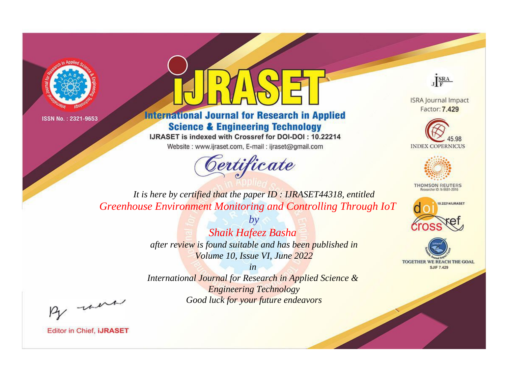



**International Journal for Research in Applied Science & Engineering Technology** 

IJRASET is indexed with Crossref for DOI-DOI: 10.22214

Website: www.ijraset.com, E-mail: ijraset@gmail.com





**ISRA Journal Impact** Factor: 7.429





**THOMSON REUTERS** 



TOGETHER WE REACH THE GOAL **SJIF 7.429** 

*It is here by certified that the paper ID : IJRASET44318, entitled Greenhouse Environment Monitoring and Controlling Through IoT*

> *Shaik Hafeez Basha after review is found suitable and has been published in Volume 10, Issue VI, June 2022*

*by*

*in International Journal for Research in Applied Science & Engineering Technology Good luck for your future endeavors*

By morn